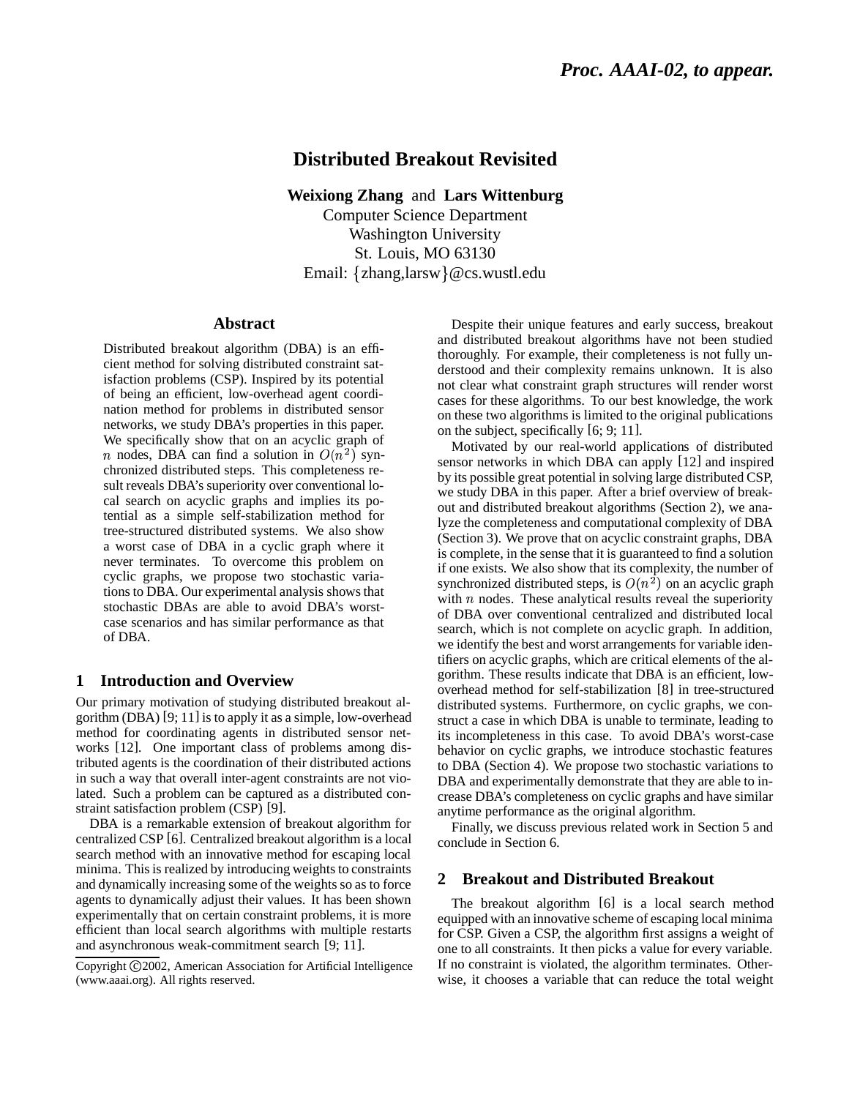# **Distributed Breakout Revisited**

**Weixiong Zhang** and **Lars Wittenburg** Computer Science Department

Washington University St. Louis, MO 63130 Email: {zhang,larsw}@cs.wustl.edu

# **Abstract**

Distributed breakout algorithm (DBA) is an efficient method for solving distributed constraint satisfaction problems (CSP). Inspired by its potential of being an efficient, low-overhead agent coordination method for problems in distributed sensor networks, we study DBA's properties in this paper. We specifically show that on an acyclic graph of n nodes, DBA can find a solution in  $O(n^2)$  synchronized distributed steps. This completeness result reveals DBA's superiority over conventional local search on acyclic graphs and implies its potential as a simple self-stabilization method for tree-structured distributed systems. We also show a worst case of DBA in a cyclic graph where it never terminates. To overcome this problem on cyclic graphs, we propose two stochastic variationsto DBA. Our experimental analysis showsthat stochastic DBAs are able to avoid DBA's worstcase scenarios and has similar performance as that of DBA.

# **1 Introduction and Overview**

Our primary motivation of studying distributed breakout algorithm (DBA) [9; 11] is to apply it as a simple, low-overhead method for coordinating agents in distributed sensor networks [12]. One important class of problems among distributed agents is the coordination of their distributed actions in such a way that overall inter-agent constraints are not violated. Such a problem can be captured as a distributed constraint satisfaction problem (CSP) [9].

DBA is a remarkable extension of breakout algorithm for centralized CSP [6]. Centralized breakout algorithm is a local search method with an innovative method for escaping local minima. This is realized by introducing weights to constraints and dynamically increasing some of the weights so as to force agents to dynamically adjust their values. It has been shown experimentally that on certain constraint problems, it is more efficient than local search algorithms with multiple restarts and asynchronous weak-commitment search [9; 11].

Despite their unique features and early success, breakout and distributed breakout algorithms have not been studied thoroughly. For example, their completeness is not fully understood and their complexity remains unknown. It is also not clear what constraint graph structures will render worst cases for these algorithms. To our best knowledge, the work on these two algorithms is limited to the original publications on the subject, specifically [6; 9; 11].

Motivated by our real-world applications of distributed sensor networks in which DBA can apply [12] and inspired by its possible great potential in solving large distributed CSP, we study DBA in this paper. After a brief overview of breakout and distributed breakout algorithms (Section 2), we analyze the completeness and computational complexity of DBA (Section 3). We prove that on acyclic constraint graphs, DBA is complete, in the sense that it is guaranteed to find a solution if one exists. We also show that its complexity, the number of synchronized distributed steps, is  $O(n^2)$  on an acyclic graph with  $n$  nodes. These analytical results reveal the superiority of DBA over conventional centralized and distributed local search, which is not complete on acyclic graph. In addition, we identify the best and worst arrangements for variable identifiers on acyclic graphs, which are critical elements of the algorithm. These results indicate that DBA is an efficient, lowoverhead method for self-stabilization [8] in tree-structured distributed systems. Furthermore, on cyclic graphs, we construct a case in which DBA is unable to terminate, leading to its incompleteness in this case. To avoid DBA's worst-case behavior on cyclic graphs, we introduce stochastic features to DBA (Section 4). We propose two stochastic variations to DBA and experimentally demonstrate that they are able to increase DBA's completeness on cyclic graphs and have similar anytime performance as the original algorithm.

Finally, we discuss previous related work in Section 5 and conclude in Section 6.

# **2 Breakout and Distributed Breakout**

The breakout algorithm [6] is a local search method equipped with an innovative scheme of escaping local minima for CSP. Given a CSP, the algorithm first assigns a weight of one to all constraints. It then picks a value for every variable. If no constraint is violated, the algorithm terminates. Otherwise, it chooses a variable that can reduce the total weight

Copyright ©2002, American Association for Artificial Intelligence (www.aaai.org). All rights reserved.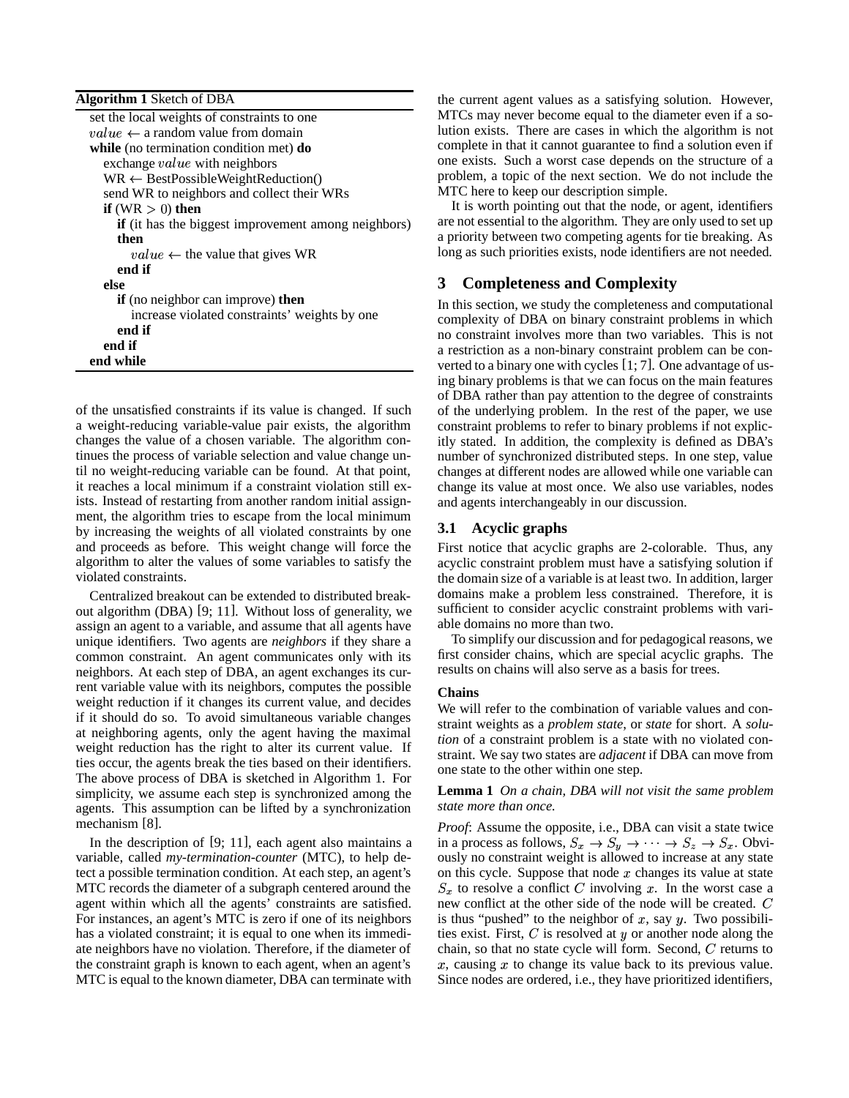| <b>Algorithm 1 Sketch of DBA</b>                           |
|------------------------------------------------------------|
| set the local weights of constraints to one                |
| $value \leftarrow$ a random value from domain              |
| while (no termination condition met) $do$                  |
| exchange <i>value</i> with neighbors                       |
| $WR \leftarrow BestPossibleWeightReduction()$              |
| send WR to neighbors and collect their WRs                 |
| if $(WR > 0)$ then                                         |
| <b>if</b> (it has the biggest improvement among neighbors) |
| then                                                       |
| $value \leftarrow$ the value that gives WR                 |
| end if                                                     |
| else                                                       |
| <b>if</b> (no neighbor can improve) <b>then</b>            |
| increase violated constraints' weights by one              |
| end if                                                     |
| end if                                                     |
| end while                                                  |

of the unsatisfied constraints if its value is changed. If such a weight-reducing variable-value pair exists, the algorithm changes the value of a chosen variable. The algorithm continues the process of variable selection and value change until no weight-reducing variable can be found. At that point, it reaches a local minimum if a constraint violation still exists. Instead of restarting from another random initial assignment, the algorithm tries to escape from the local minimum by increasing the weights of all violated constraints by one and proceeds as before. This weight change will force the algorithm to alter the values of some variables to satisfy the violated constraints.

Centralized breakout can be extended to distributed breakout algorithm (DBA) [9; 11]. Without loss of generality, we assign an agent to a variable, and assume that all agents have unique identifiers. Two agents are *neighbors* if they share a common constraint. An agent communicates only with its neighbors. At each step of DBA, an agent exchanges its current variable value with its neighbors, computes the possible weight reduction if it changes its current value, and decides if it should do so. To avoid simultaneous variable changes at neighboring agents, only the agent having the maximal weight reduction has the right to alter its current value. If ties occur, the agents break the ties based on their identifiers. The above process of DBA is sketched in Algorithm 1. For simplicity, we assume each step is synchronized among the agents. This assumption can be lifted by a synchronization mechanism [8].

In the description of [9; 11], each agent also maintains a variable, called *my-termination-counter* (MTC), to help detect a possible termination condition. At each step, an agent's MTC records the diameter of a subgraph centered around the agent within which all the agents' constraints are satisfied. For instances, an agent's MTC is zero if one of its neighbors has a violated constraint; it is equal to one when its immediate neighbors have no violation. Therefore, if the diameter of the constraint graph is known to each agent, when an agent's MTC is equal to the known diameter, DBA can terminate with

the current agent values as a satisfying solution. However, MTCs may never become equal to the diameter even if a solution exists. There are cases in which the algorithm is not complete in that it cannot guarantee to find a solution even if one exists. Such a worst case depends on the structure of a problem, a topic of the next section. We do not include the MTC here to keep our description simple.

It is worth pointing out that the node, or agent, identifiers are not essential to the algorithm. They are only used to set up a priority between two competing agents for tie breaking. As long as such priorities exists, node identifiers are not needed.

# **3 Completeness and Complexity**

In this section, we study the completeness and computational complexity of DBA on binary constraint problems in which no constraint involves more than two variables. This is not a restriction as a non-binary constraint problem can be converted to a binary one with cycles [1; 7]. One advantage of using binary problems is that we can focus on the main features of DBA rather than pay attention to the degree of constraints of the underlying problem. In the rest of the paper, we use constraint problems to refer to binary problems if not explicitly stated. In addition, the complexity is defined as DBA's number of synchronized distributed steps. In one step, value changes at different nodes are allowed while one variable can change its value at most once. We also use variables, nodes and agents interchangeably in our discussion.

# **3.1 Acyclic graphs**

First notice that acyclic graphs are 2-colorable. Thus, any acyclic constraint problem must have a satisfying solution if the domain size of a variable is at least two. In addition, larger domains make a problem less constrained. Therefore, it is sufficient to consider acyclic constraint problems with variable domains no more than two.

To simplify our discussion and for pedagogical reasons, we first consider chains, which are special acyclic graphs. The results on chains will also serve as a basis for trees.

# **Chains**

We will refer to the combination of variable values and constraint weights as a *problem state*, or *state* for short. A *solution* of a constraint problem is a state with no violated constraint. We say two states are *adjacent* if DBA can move from one state to the other within one step.

**Lemma 1** *On a chain, DBA will not visit the same problem state more than once.*

*Proof*: Assume the opposite, i.e., DBA can visit a state twice in a process as follows,  $S_x \to S_y \to \cdots \to S_z \to S_x$ . Obviously no constraint weight is allowed to increase at any state on this cycle. Suppose that node  $x$  changes its value at state  $S_x$  to resolve a conflict C involving x. In the worst case a new conflict at the other side of the node will be created.  $C$ is thus "pushed" to the neighbor of x, say y. Two possibilities exist. First,  $C$  is resolved at  $y$  or another node along the chain, so that no state cycle will form. Second,  $C$  returns to  $x$ , causing  $x$  to change its value back to its previous value. Since nodes are ordered, i.e., they have prioritized identifiers,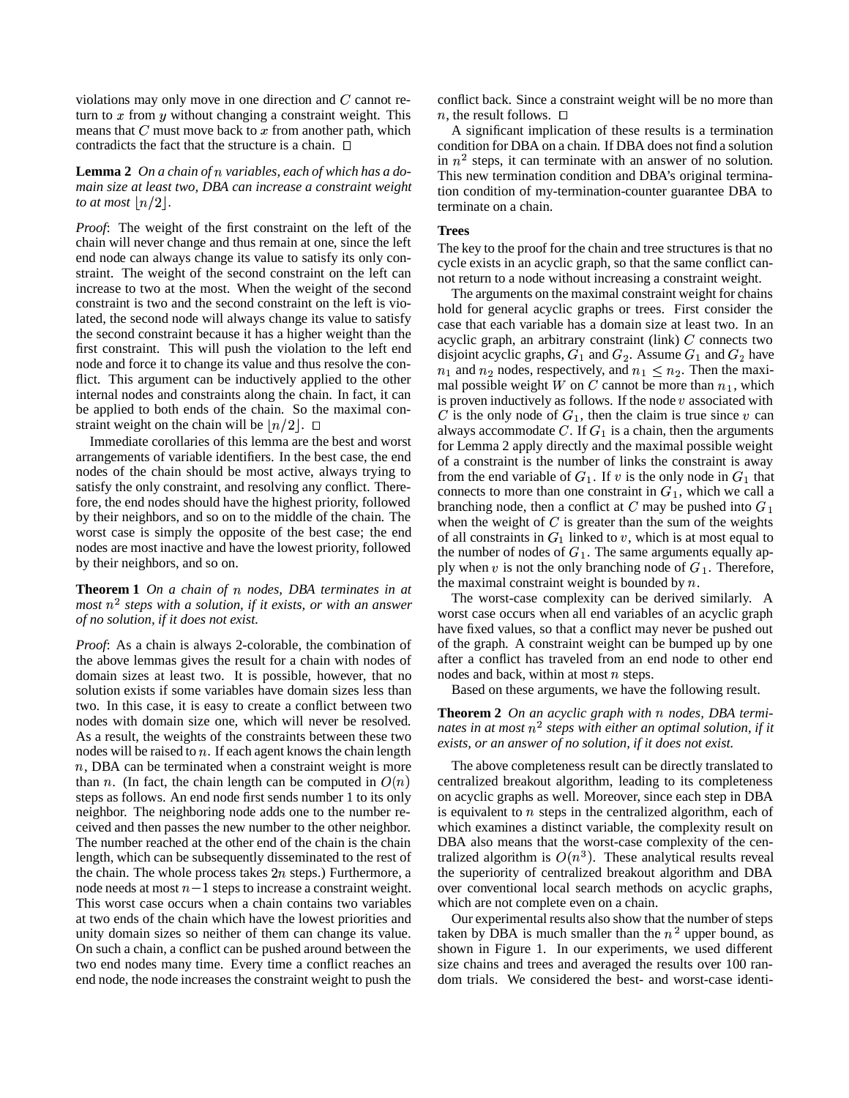violations may only move in one direction and  $C$  cannot return to  $x$  from  $y$  without changing a constraint weight. This means that  $C$  must move back to  $x$  from another path, which contradicts the fact that the structure is a chain.  $\Box$ 

## Lemma 2 On *a* chain of *n* variables, each of which has a do*main size at least two, DBA can increase a constraint weight to* at most  $\lfloor n/2 \rfloor$ .

*Proof*: The weight of the first constraint on the left of the chain will never change and thus remain at one, since the left end node can always change its value to satisfy its only constraint. The weight of the second constraint on the left can increase to two at the most. When the weight of the second constraint is two and the second constraint on the left is violated, the second node will always change its value to satisfy the second constraint because it has a higher weight than the first constraint. This will push the violation to the left end node and force it to change its value and thus resolve the conflict. This argument can be inductively applied to the other internal nodes and constraints along the chain. In fact, it can be applied to both ends of the chain. So the maximal constraint weight on the chain will be  $\lfloor n/2 \rfloor$ .  $\Box$ 

Immediate corollaries of this lemma are the best and worst arrangements of variable identifiers. In the best case, the end nodes of the chain should be most active, always trying to satisfy the only constraint, and resolving any conflict. Therefore, the end nodes should have the highest priority, followed by their neighbors, and so on to the middle of the chain. The worst case is simply the opposite of the best case; the end nodes are most inactive and have the lowest priority, followed by their neighbors, and so on.

### **Theorem 1** On a chain of n nodes, DBA terminates in at *most*  $n^2$  *steps* with a solution, if it exists, or with an answer *of no solution, if it does not exist.*

*Proof*: As a chain is always 2-colorable, the combination of the above lemmas gives the result for a chain with nodes of domain sizes at least two. It is possible, however, that no solution exists if some variables have domain sizes less than two. In this case, it is easy to create a conflict between two nodes with domain size one, which will never be resolved. As a result, the weights of the constraints between these two nodes will be raised to  $n$ . If each agent knows the chain length n, DBA can be terminated when a constraint weight is more than *n*. (In fact, the chain length can be computed in  $O(n)$ steps as follows. An end node first sends number 1 to its only neighbor. The neighboring node adds one to the number received and then passes the new number to the other neighbor. The number reached at the other end of the chain is the chain length, which can be subsequently disseminated to the rest of the chain. The whole process takes  $2n$  steps.) Furthermore, a node needs at most  $n-1$  steps to increase a constraint weight. This worst case occurs when a chain contains two variables at two ends of the chain which have the lowest priorities and unity domain sizes so neither of them can change its value. On such a chain, a conflict can be pushed around between the two end nodes many time. Every time a conflict reaches an end node, the node increases the constraint weight to push the

conflict back. Since a constraint weight will be no more than  $n$ , the result follows.  $\Box$ 

A significant implication of these results is a termination condition for DBA on a chain. If DBA does not find a solution in  $n^2$  steps, it can terminate with an answer of no solution. This new termination condition and DBA's original termination condition of my-termination-counter guarantee DBA to terminate on a chain.

#### **Trees**

The key to the proof for the chain and tree structures is that no cycle exists in an acyclic graph, so that the same conflict cannot return to a node without increasing a constraint weight.

The arguments on the maximal constraint weight for chains hold for general acyclic graphs or trees. First consider the case that each variable has a domain size at least two. In an acyclic graph, an arbitrary constraint (link)  $C$  connects two disjoint acyclic graphs,  $G_1$  and  $G_2$ . Assume  $G_1$  and  $G_2$  have  $n_1$  and  $n_2$  nodes, respectively, and  $n_1 \leq n_2$ . Then the maximal possible weight W on C cannot be more than  $n_1$ , which is proven inductively as follows. If the node  $v$  associated with C is the only node of  $G_1$ , then the claim is true since v can always accommodate  $C$ . If  $G_1$  is a chain, then the arguments for Lemma 2 apply directly and the maximal possible weight of a constraint is the number of links the constraint is away from the end variable of  $G_1$ . If v is the only node in  $G_1$  that connects to more than one constraint in  $G_1$ , which we call a branching node, then a conflict at  $C$  may be pushed into  $G_1$ when the weight of  $C$  is greater than the sum of the weights of all constraints in  $G_1$  linked to v, which is at most equal to the number of nodes of  $G_1$ . The same arguments equally apply when  $v$  is not the only branching node of  $G_1$ . Therefore, the maximal constraint weight is bounded by  $n$ .

The worst-case complexity can be derived similarly. A worst case occurs when all end variables of an acyclic graph have fixed values, so that a conflict may never be pushed out of the graph. A constraint weight can be bumped up by one after a conflict has traveled from an end node to other end nodes and back, within at most  $n$  steps.

Based on these arguments, we have the following result.

#### **Theorem 2** *On an acyclic graph with* - *nodes, DBA termi* $n$ ates in at most  $n^2$  steps with either an optimal solution, if it *exists, or an answer of no solution, if it does not exist.*

The above completeness result can be directly translated to centralized breakout algorithm, leading to its completeness on acyclic graphs as well. Moreover, since each step in DBA is equivalent to  $n$  steps in the centralized algorithm, each of which examines a distinct variable, the complexity result on DBA also means that the worst-case complexity of the centralized algorithm is  $O(n^3)$ . These analytical results reveal the superiority of centralized breakout algorithm and DBA over conventional local search methods on acyclic graphs, which are not complete even on a chain.

Our experimental results also show that the number of steps taken by DBA is much smaller than the  $n<sup>2</sup>$  upper bound, as shown in Figure 1. In our experiments, we used different size chains and trees and averaged the results over 100 random trials. We considered the best- and worst-case identi-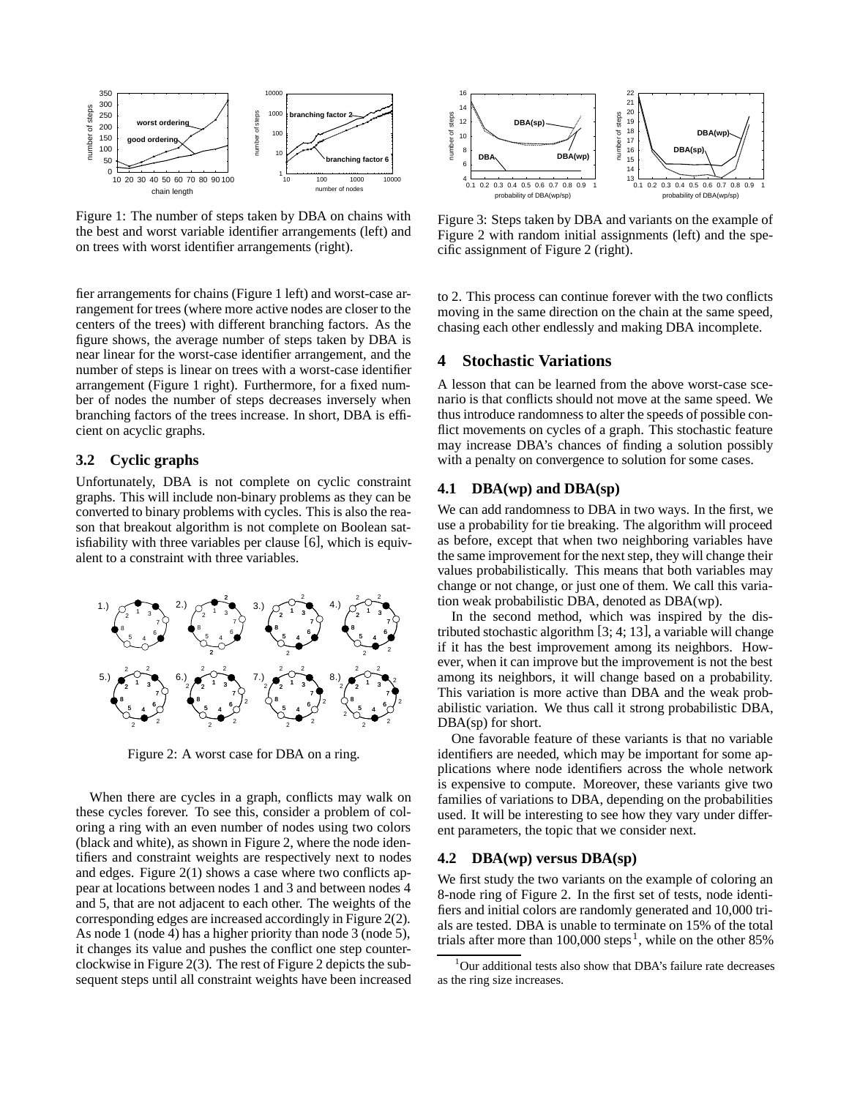

Figure 1: The number of steps taken by DBA on chains with the best and worst variable identifier arrangements (left) and on trees with worst identifier arrangements (right).

fier arrangements for chains (Figure 1 left) and worst-case arrangement for trees (where more active nodes are closer to the centers of the trees) with different branching factors. As the figure shows, the average number of steps taken by DBA is near linear for the worst-case identifier arrangement, and the number of steps is linear on trees with a worst-case identifier arrangement (Figure 1 right). Furthermore, for a fixed number of nodes the number of steps decreases inversely when branching factors of the trees increase. In short, DBA is efficient on acyclic graphs.

# **3.2 Cyclic graphs**

Unfortunately, DBA is not complete on cyclic constraint graphs. This will include non-binary problems as they can be converted to binary problems with cycles. This is also the reason that breakout algorithm is not complete on Boolean satisfiability with three variables per clause [6], which is equivalent to a constraint with three variables.



Figure 2: A worst case for DBA on a ring.

When there are cycles in a graph, conflicts may walk on these cycles forever. To see this, consider a problem of coloring a ring with an even number of nodes using two colors (black and white), as shown in Figure 2, where the node identifiers and constraint weights are respectively next to nodes and edges. Figure 2(1) shows a case where two conflicts appear at locations between nodes 1 and 3 and between nodes 4 and 5, that are not adjacent to each other. The weights of the corresponding edges are increased accordingly in Figure 2(2). As node 1 (node 4) has a higher priority than node 3 (node 5), it changes its value and pushes the conflict one step counterclockwise in Figure 2(3). The rest of Figure 2 depicts the subsequent steps until all constraint weights have been increased



Figure 3: Steps taken by DBA and variants on the example of Figure 2 with random initial assignments (left) and the specific assignment of Figure 2 (right).

to 2. This process can continue forever with the two conflicts moving in the same direction on the chain at the same speed, chasing each other endlessly and making DBA incomplete.

# **4 Stochastic Variations**

A lesson that can be learned from the above worst-case scenario is that conflicts should not move at the same speed. We thus introduce randomness to alter the speeds of possible conflict movements on cycles of a graph. This stochastic feature may increase DBA's chances of finding a solution possibly with a penalty on convergence to solution for some cases.

## **4.1 DBA(wp) and DBA(sp)**

We can add randomness to DBA in two ways. In the first, we use a probability for tie breaking. The algorithm will proceed as before, except that when two neighboring variables have the same improvement for the next step, they will change their values probabilistically. This means that both variables may change or not change, or just one of them. We call this variation weak probabilistic DBA, denoted as DBA(wp).

In the second method, which was inspired by the distributed stochastic algorithm [3; 4; 13], a variable will change if it has the best improvement among its neighbors. However, when it can improve but the improvement is not the best among its neighbors, it will change based on a probability. This variation is more active than DBA and the weak probabilistic variation. We thus call it strong probabilistic DBA, DBA(sp) for short.

One favorable feature of these variants is that no variable identifiers are needed, which may be important for some applications where node identifiers across the whole network is expensive to compute. Moreover, these variants give two families of variations to DBA, depending on the probabilities used. It will be interesting to see how they vary under different parameters, the topic that we consider next.

## **4.2 DBA(wp) versus DBA(sp)**

We first study the two variants on the example of coloring an 8-node ring of Figure 2. In the first set of tests, node identifiers and initial colors are randomly generated and 10,000 trials are tested. DBA is unable to terminate on 15% of the total trials after more than  $100,000$  steps<sup>1</sup>, while on the other 85%

<sup>&</sup>lt;sup>1</sup>Our additional tests also show that DBA's failure rate decreases as the ring size increases.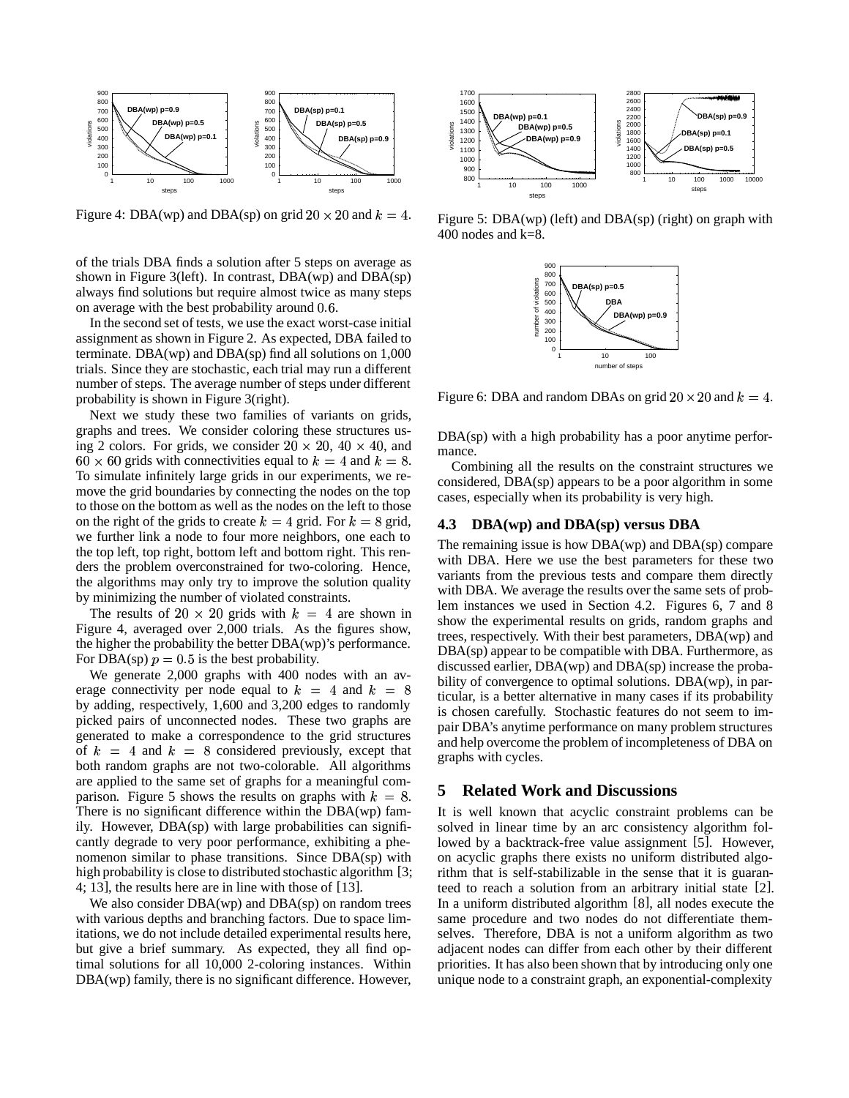

Figure 4: DBA(wp) and DBA(sp) on grid  $20 \times 20$  and  $k=4$ .

of the trials DBA finds a solution after 5 steps on average as shown in Figure 3(left). In contrast,  $DBA(wp)$  and  $DBA(sp)$ always find solutions but require almost twice as many steps on average with the best probability around  $0.6$ .

In the second set of tests, we use the exact worst-case initial assignment as shown in Figure 2. As expected, DBA failed to terminate. DBA(wp) and DBA(sp) find all solutions on  $1,000$ trials. Since they are stochastic, each trial may run a different number of steps. The average number of steps under different probability is shown in Figure 3(right).

Next we study these two families of variants on grids, graphs and trees. We consider coloring these structures using 2 colors. For grids, we consider  $20 \times 20$ ,  $40 \times 40$ , and  $60 \times 60$  grids with connectivities equal to  $k=4$  and  $k=8$ . To simulate infinitely large grids in our experiments, we remove the grid boundaries by connecting the nodes on the top to those on the bottom as well as the nodes on the left to those on the right of the grids to create  $k=4$  grid. For  $k=8$  grid, we further link a node to four more neighbors, one each to the top left, top right, bottom left and bottom right. This renders the problem overconstrained for two-coloring. Hence, the algorithms may only try to improve the solution quality by minimizing the number of violated constraints.

The results of  $20 \times 20$  grids with  $k = 4$  are shown in Figure 4, averaged over 2,000 trials. As the figures show, the higher the probability the better DBA(wp)'s performance. For DBA(sp)  $p = 0.5$  is the best probability.

We generate 2,000 graphs with 400 nodes with an average connectivity per node equal to  $k = 4$  and  $k = 8$ by adding, respectively, 1,600 and 3,200 edges to randomly picked pairs of unconnected nodes. These two graphs are generated to make a correspondence to the grid structures of  $k = 4$  and  $k = 8$  considered previously, except that both random graphs are not two-colorable. All algorithms are applied to the same set of graphs for a meaningful comparison. Figure 5 shows the results on graphs with  $k = 8$ . There is no significant difference within the DBA(wp) family. However, DBA(sp) with large probabilities can significantly degrade to very poor performance, exhibiting a phenomenon similar to phase transitions. Since DBA(sp) with high probability is close to distributed stochastic algorithm [3; 4; 13], the results here are in line with those of [13].

We also consider  $DBA(wp)$  and  $DBA(sp)$  on random trees with various depths and branching factors. Due to space limitations, we do not include detailed experimental results here, but give a brief summary. As expected, they all find optimal solutions for all 10,000 2-coloring instances. Within DBA(wp) family, there is no significant difference. However,



Figure 5: DBA(wp) (left) and DBA(sp) (right) on graph with 400 nodes and k=8.



Figure 6: DBA and random DBAs on grid  $20 \times 20$  and  $k = 4$ .

DBA(sp) with a high probability has a poor anytime performance.

Combining all the results on the constraint structures we considered, DBA(sp) appears to be a poor algorithm in some cases, especially when its probability is very high.

# **4.3 DBA(wp) and DBA(sp) versus DBA**

The remaining issue is how DBA(wp) and DBA(sp) compare with DBA. Here we use the best parameters for these two variants from the previous tests and compare them directly with DBA. We average the results over the same sets of problem instances we used in Section 4.2. Figures 6, 7 and 8 show the experimental results on grids, random graphs and trees, respectively. With their best parameters, DBA(wp) and DBA(sp) appear to be compatible with DBA. Furthermore, as discussed earlier, DBA(wp) and DBA(sp) increase the probability of convergence to optimal solutions. DBA(wp), in particular, is a better alternative in many cases if its probability is chosen carefully. Stochastic features do not seem to impair DBA's anytime performance on many problem structures and help overcome the problem of incompleteness of DBA on graphs with cycles.

## **5 Related Work and Discussions**

It is well known that acyclic constraint problems can be solved in linear time by an arc consistency algorithm followed by a backtrack-free value assignment [5]. However, on acyclic graphs there exists no uniform distributed algorithm that is self-stabilizable in the sense that it is guaranteed to reach a solution from an arbitrary initial state [2]. In a uniform distributed algorithm [8], all nodes execute the same procedure and two nodes do not differentiate themselves. Therefore, DBA is not a uniform algorithm as two adjacent nodes can differ from each other by their different priorities. It has also been shown that by introducing only one unique node to a constraint graph, an exponential-complexity